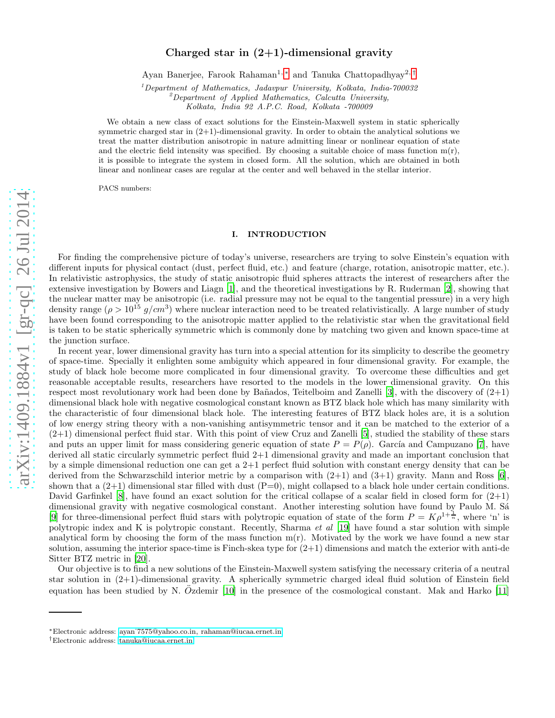# Charged star in  $(2+1)$ -dimensional gravity

Ayan Banerjee, Farook Rahaman<sup>1,\*</sup> and Tanuka Chattopadhyay<sup>2,[†](#page-0-1)</sup>

<sup>1</sup>Department of Mathematics, Jadavpur University, Kolkata, India-700032<br><sup>2</sup>Department of Applied Mathematics, Calcutta University,

Kolkata, India 92 A.P.C. Road, Kolkata -700009

We obtain a new class of exact solutions for the Einstein-Maxwell system in static spherically symmetric charged star in  $(2+1)$ -dimensional gravity. In order to obtain the analytical solutions we treat the matter distribution anisotropic in nature admitting linear or nonlinear equation of state and the electric field intensity was specified. By choosing a suitable choice of mass function  $m(r)$ , it is possible to integrate the system in closed form. All the solution, which are obtained in both linear and nonlinear cases are regular at the center and well behaved in the stellar interior.

PACS numbers:

## I. INTRODUCTION

For finding the comprehensive picture of today's universe, researchers are trying to solve Einstein's equation with different inputs for physical contact (dust, perfect fluid, etc.) and feature (charge, rotation, anisotropic matter, etc.). In relativistic astrophysics, the study of static anisotropic fluid spheres attracts the interest of researchers after the extensive investigation by Bowers and Liagn [\[1\]](#page-9-0), and the theoretical investigations by R. Ruderman [\[2](#page-9-1)], showing that the nuclear matter may be anisotropic (i.e. radial pressure may not be equal to the tangential pressure) in a very high density range  $(\rho > 10^{15} g/cm^3)$  where nuclear interaction need to be treated relativistically. A large number of study have been found corresponding to the anisotropic matter applied to the relativistic star when the gravitational field is taken to be static spherically symmetric which is commonly done by matching two given and known space-time at the junction surface.

In recent year, lower dimensional gravity has turn into a special attention for its simplicity to describe the geometry of space-time. Specially it enlighten some ambiguity which appeared in four dimensional gravity. For example, the study of black hole become more complicated in four dimensional gravity. To overcome these difficulties and get reasonable acceptable results, researchers have resorted to the models in the lower dimensional gravity. On this respect most revolutionary work had been done by Bañados, Teitelboim and Zanelli [\[3\]](#page-9-2), with the discovery of  $(2+1)$ dimensional black hole with negative cosmological constant known as BTZ black hole which has many similarity with the characteristic of four dimensional black hole. The interesting features of BTZ black holes are, it is a solution of low energy string theory with a non-vanishing antisymmetric tensor and it can be matched to the exterior of a (2+1) dimensional perfect fluid star. With this point of view Cruz and Zanelli [\[5\]](#page-9-3), studied the stability of these stars and puts an upper limit for mass considering generic equation of state  $P = P(\rho)$ . García and Campuzano [\[7](#page-9-4)], have derived all static circularly symmetric perfect fluid 2+1 dimensional gravity and made an important conclusion that by a simple dimensional reduction one can get a 2+1 perfect fluid solution with constant energy density that can be derived from the Schwarzschild interior metric by a comparison with  $(2+1)$  and  $(3+1)$  gravity. Mann and Ross [\[6\]](#page-9-5), shown that a  $(2+1)$  dimensional star filled with dust  $(P=0)$ , might collapsed to a black hole under certain conditions. David Garfinkel  $[8]$ , have found an exact solution for the critical collapse of a scalar field in closed form for  $(2+1)$ dimensional gravity with negative cosmological constant. Another interesting solution have found by Paulo M. Sá [\[9\]](#page-9-7) for three-dimensional perfect fluid stars with polytropic equation of state of the form  $P = K \rho^{1+\frac{1}{n}}$ , where 'n' is polytropic index and K is polytropic constant. Recently, Sharma et al [\[19](#page-9-8)] have found a star solution with simple analytical form by choosing the form of the mass function  $m(r)$ . Motivated by the work we have found a new star solution, assuming the interior space-time is Finch-skea type for  $(2+1)$  dimensions and match the exterior with anti-de Sitter BTZ metric in [\[20\]](#page-9-9).

Our objective is to find a new solutions of the Einstein-Maxwell system satisfying the necessary criteria of a neutral star solution in (2+1)-dimensional gravity. A spherically symmetric charged ideal fluid solution of Einstein field equation has been studied by N.  $\ddot{O}$ zdemir [\[10](#page-9-10)] in the presence of the cosmological constant. Mak and Harko [\[11](#page-9-11)]

<span id="page-0-0"></span><sup>∗</sup>Electronic address: [ayan˙7575@yahoo.co.in, rahaman@iucaa.ernet.in](mailto:ayan_7575@yahoo.co.in, rahaman@iucaa.ernet.in)

<span id="page-0-1"></span><sup>†</sup>Electronic address: [tanuka@iucaa.ernet.in](mailto:tanuka@iucaa.ernet.in)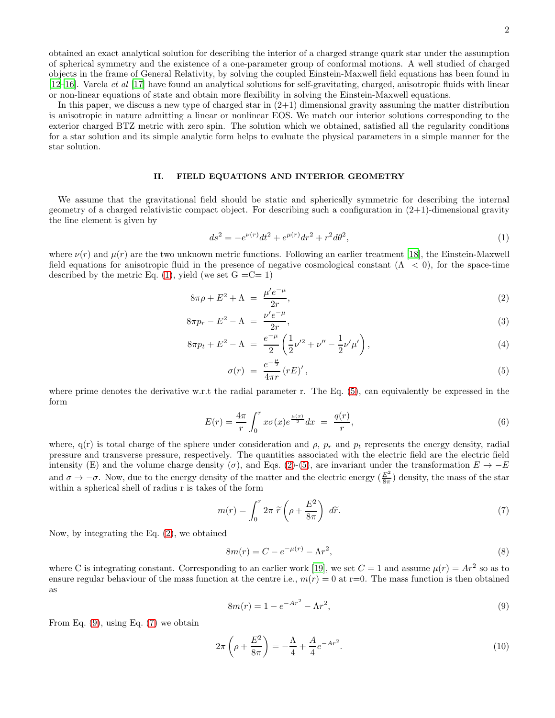obtained an exact analytical solution for describing the interior of a charged strange quark star under the assumption of spherical symmetry and the existence of a one-parameter group of conformal motions. A well studied of charged objects in the frame of General Relativity, by solving the coupled Einstein-Maxwell field equations has been found in [\[12](#page-9-12)[–16\]](#page-9-13). Varela et al [\[17\]](#page-9-14) have found an analytical solutions for self-gravitating, charged, anisotropic fluids with linear or non-linear equations of state and obtain more flexibility in solving the Einstein-Maxwell equations.

In this paper, we discuss a new type of charged star in  $(2+1)$  dimensional gravity assuming the matter distribution is anisotropic in nature admitting a linear or nonlinear EOS. We match our interior solutions corresponding to the exterior charged BTZ metric with zero spin. The solution which we obtained, satisfied all the regularity conditions for a star solution and its simple analytic form helps to evaluate the physical parameters in a simple manner for the star solution.

### II. FIELD EQUATIONS AND INTERIOR GEOMETRY

We assume that the gravitational field should be static and spherically symmetric for describing the internal geometry of a charged relativistic compact object. For describing such a configuration in  $(2+1)$ -dimensional gravity the line element is given by

<span id="page-1-0"></span>
$$
ds^{2} = -e^{\nu(r)}dt^{2} + e^{\mu(r)}dr^{2} + r^{2}d\theta^{2},
$$
\n(1)

where  $\nu(r)$  and  $\mu(r)$  are the two unknown metric functions. Following an earlier treatment [\[18\]](#page-9-15), the Einstein-Maxwell field equations for anisotropic fluid in the presence of negative cosmological constant  $(Λ < 0)$ , for the space-time described by the metric Eq. [\(1\)](#page-1-0), yield (we set  $G = C = 1$ )

<span id="page-1-1"></span>
$$
8\pi\rho + E^2 + \Lambda = \frac{\mu'e^{-\mu}}{2r},\tag{2}
$$

$$
8\pi p_r - E^2 - \Lambda = \frac{\nu'e^{-\mu}}{2r},\tag{3}
$$

$$
8\pi p_t + E^2 - \Lambda = \frac{e^{-\mu}}{2} \left( \frac{1}{2} \nu'^2 + \nu'' - \frac{1}{2} \nu' \mu' \right), \tag{4}
$$

$$
\sigma(r) = \frac{e^{-\frac{\mu}{2}}}{4\pi r} (rE)' \,, \tag{5}
$$

where prime denotes the derivative w.r.t the radial parameter r. The Eq. [\(5\)](#page-1-1), can equivalently be expressed in the form

$$
E(r) = \frac{4\pi}{r} \int_0^r x \sigma(x) e^{\frac{\mu(x)}{2}} dx = \frac{q(r)}{r},
$$
\n(6)

where,  $q(r)$  is total charge of the sphere under consideration and  $\rho$ ,  $p_r$  and  $p_t$  represents the energy density, radial pressure and transverse pressure, respectively. The quantities associated with the electric field are the electric field intensity (E) and the volume charge density ( $\sigma$ ), and Eqs. [\(2\)](#page-1-1)-[\(5\)](#page-1-1), are invariant under the transformation  $E \to -E$ and  $\sigma \to -\sigma$ . Now, due to the energy density of the matter and the electric energy  $(\frac{E^2}{8\pi})$  $\frac{E^2}{8\pi}$ ) density, the mass of the star within a spherical shell of radius r is takes of the form

<span id="page-1-3"></span>
$$
m(r) = \int_0^r 2\pi \ \tilde{r} \left(\rho + \frac{E^2}{8\pi}\right) d\tilde{r}.\tag{7}
$$

Now, by integrating the Eq. [\(2\)](#page-1-1), we obtained

$$
8m(r) = C - e^{-\mu(r)} - \Lambda r^2,
$$
\n(8)

where C is integrating constant. Corresponding to an earlier work [\[19\]](#page-9-8), we set  $C = 1$  and assume  $\mu(r) = Ar^2$  so as to ensure regular behaviour of the mass function at the centre i.e.,  $m(r) = 0$  at r=0. The mass function is then obtained as

<span id="page-1-2"></span>
$$
8m(r) = 1 - e^{-Ar^2} - \Lambda r^2,
$$
\n(9)

From Eq.  $(9)$ , using Eq.  $(7)$  we obtain

<span id="page-1-4"></span>
$$
2\pi \left( \rho + \frac{E^2}{8\pi} \right) = -\frac{\Lambda}{4} + \frac{A}{4} e^{-Ar^2}.
$$
 (10)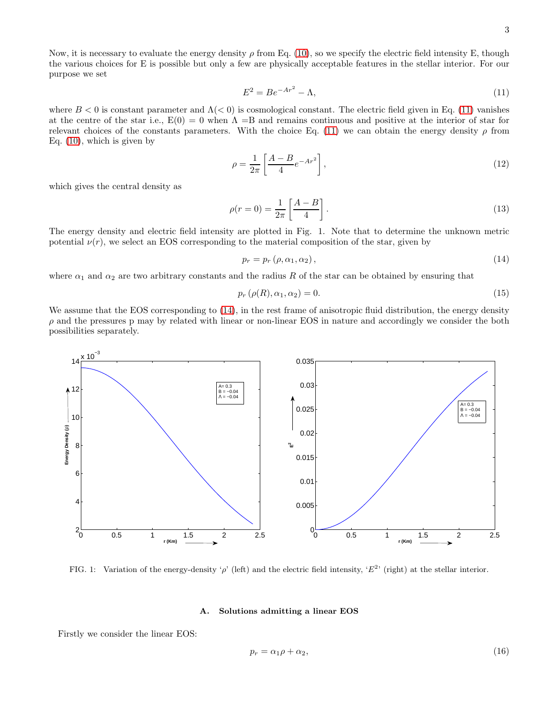Now, it is necessary to evaluate the energy density  $\rho$  from Eq. [\(10\)](#page-1-4), so we specify the electric field intensity E, though the various choices for E is possible but only a few are physically acceptable features in the stellar interior. For our purpose we set

<span id="page-2-0"></span>
$$
E^2 = Be^{-Ar^2} - \Lambda,\tag{11}
$$

where  $B < 0$  is constant parameter and  $\Lambda$ ( $< 0$ ) is cosmological constant. The electric field given in Eq. [\(11\)](#page-2-0) vanishes at the centre of the star i.e.,  $E(0) = 0$  when  $\Lambda = B$  and remains continuous and positive at the interior of star for relevant choices of the constants parameters. With the choice Eq. [\(11\)](#page-2-0) we can obtain the energy density  $\rho$  from Eq. [\(10\)](#page-1-4), which is given by

$$
\rho = \frac{1}{2\pi} \left[ \frac{A - B}{4} e^{-Ar^2} \right],\tag{12}
$$

which gives the central density as

$$
\rho(r=0) = \frac{1}{2\pi} \left[ \frac{A-B}{4} \right].
$$
\n(13)

The energy density and electric field intensity are plotted in Fig. 1. Note that to determine the unknown metric potential  $\nu(r)$ , we select an EOS corresponding to the material composition of the star, given by

<span id="page-2-1"></span>
$$
p_r = p_r \left( \rho, \alpha_1, \alpha_2 \right), \tag{14}
$$

where  $\alpha_1$  and  $\alpha_2$  are two arbitrary constants and the radius R of the star can be obtained by ensuring that

$$
p_r\left(\rho(R), \alpha_1, \alpha_2\right) = 0.\tag{15}
$$

We assume that the EOS corresponding to [\(14\)](#page-2-1), in the rest frame of anisotropic fluid distribution, the energy density  $\rho$  and the pressures p may by related with linear or non-linear EOS in nature and accordingly we consider the both possibilities separately.



FIG. 1: Variation of the energy-density ' $\rho$ ' (left) and the electric field intensity, ' $E^2$ ' (right) at the stellar interior.

### A. Solutions admitting a linear EOS

Firstly we consider the linear EOS:

<span id="page-2-2"></span>
$$
p_r = \alpha_1 \rho + \alpha_2,\tag{16}
$$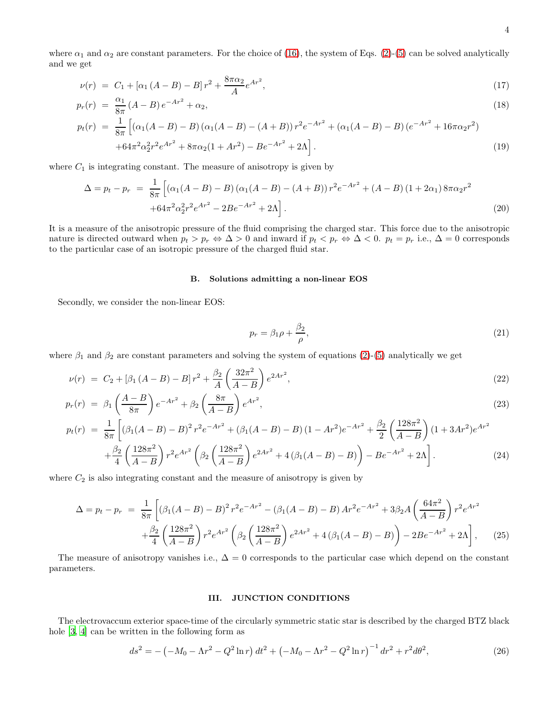where  $\alpha_1$  and  $\alpha_2$  are constant parameters. For the choice of [\(16\)](#page-2-2), the system of Eqs. [\(2\)](#page-1-1)-[\(5\)](#page-1-1) can be solved analytically and we get

<span id="page-3-0"></span>
$$
\nu(r) = C_1 + [\alpha_1 (A - B) - B] r^2 + \frac{8\pi\alpha_2}{A} e^{Ar^2},\tag{17}
$$

$$
p_r(r) = \frac{\alpha_1}{8\pi} (A - B) e^{-Ar^2} + \alpha_2,
$$
\n(18)

$$
p_t(r) = \frac{1}{8\pi} \left[ (\alpha_1(A-B)-B)(\alpha_1(A-B)-(A+B)) r^2 e^{-Ar^2} + (\alpha_1(A-B)-B) (e^{-Ar^2} + 16\pi \alpha_2 r^2) + 64\pi^2 \alpha_2^2 r^2 e^{Ar^2} + 8\pi \alpha_2 (1+Ar^2) - Be^{-Ar^2} + 2\Lambda \right].
$$
\n(19)

where  $C_1$  is integrating constant. The measure of anisotropy is given by

$$
\Delta = p_t - p_r = \frac{1}{8\pi} \left[ (\alpha_1(A - B) - B) (\alpha_1(A - B) - (A + B)) r^2 e^{-Ar^2} + (A - B) (1 + 2\alpha_1) 8\pi \alpha_2 r^2 + 64\pi^2 \alpha_2^2 r^2 e^{Ar^2} - 2Be^{-Ar^2} + 2\Lambda \right].
$$
\n(20)

It is a measure of the anisotropic pressure of the fluid comprising the charged star. This force due to the anisotropic nature is directed outward when  $p_t > p_r \Leftrightarrow \Delta > 0$  and inward if  $p_t < p_r \Leftrightarrow \Delta < 0$ .  $p_t = p_r$  i.e.,  $\Delta = 0$  corresponds to the particular case of an isotropic pressure of the charged fluid star.

# B. Solutions admitting a non-linear EOS

Secondly, we consider the non-linear EOS:

$$
p_r = \beta_1 \rho + \frac{\beta_2}{\rho},\tag{21}
$$

where  $\beta_1$  and  $\beta_2$  are constant parameters and solving the system of equations [\(2\)](#page-1-1)-[\(5\)](#page-1-1) analytically we get

<span id="page-3-1"></span>
$$
\nu(r) = C_2 + [\beta_1 (A - B) - B] r^2 + \frac{\beta_2}{A} \left(\frac{32\pi^2}{A - B}\right) e^{2Ar^2},\tag{22}
$$

$$
p_r(r) = \beta_1 \left(\frac{A-B}{8\pi}\right) e^{-Ar^2} + \beta_2 \left(\frac{8\pi}{A-B}\right) e^{Ar^2},\tag{23}
$$

$$
p_t(r) = \frac{1}{8\pi} \left[ (\beta_1(A-B)-B)^2 r^2 e^{-Ar^2} + (\beta_1(A-B)-B)(1-Ar^2) e^{-Ar^2} + \frac{\beta_2}{2} \left( \frac{128\pi^2}{A-B} \right) (1+3Ar^2) e^{Ar^2} + \frac{\beta_2}{4} \left( \frac{128\pi^2}{A-B} \right) r^2 e^{Ar^2} \left( \beta_2 \left( \frac{128\pi^2}{A-B} \right) e^{2Ar^2} + 4(\beta_1(A-B)-B) \right) - Be^{-Ar^2} + 2\Lambda \right].
$$
\n(24)

where  $C_2$  is also integrating constant and the measure of anisotropy is given by

$$
\Delta = p_t - p_r = \frac{1}{8\pi} \left[ (\beta_1 (A - B) - B)^2 r^2 e^{-Ar^2} - (\beta_1 (A - B) - B) Ar^2 e^{-Ar^2} + 3\beta_2 A \left( \frac{64\pi^2}{A - B} \right) r^2 e^{Ar^2} + \frac{\beta_2}{4} \left( \frac{128\pi^2}{A - B} \right) r^2 e^{Ar^2} \left( \beta_2 \left( \frac{128\pi^2}{A - B} \right) e^{2Ar^2} + 4 \left( \beta_1 (A - B) - B \right) \right) - 2Be^{-Ar^2} + 2\Lambda \right], \quad (25)
$$

The measure of anisotropy vanishes i.e.,  $\Delta = 0$  corresponds to the particular case which depend on the constant parameters.

## III. JUNCTION CONDITIONS

The electrovaccum exterior space-time of the circularly symmetric static star is described by the charged BTZ black hole [\[3,](#page-9-2) [4\]](#page-9-16) can be written in the following form as

$$
ds^{2} = -\left(-M_{0} - \Lambda r^{2} - Q^{2} \ln r\right) dt^{2} + \left(-M_{0} - \Lambda r^{2} - Q^{2} \ln r\right)^{-1} dr^{2} + r^{2} d\theta^{2},\tag{26}
$$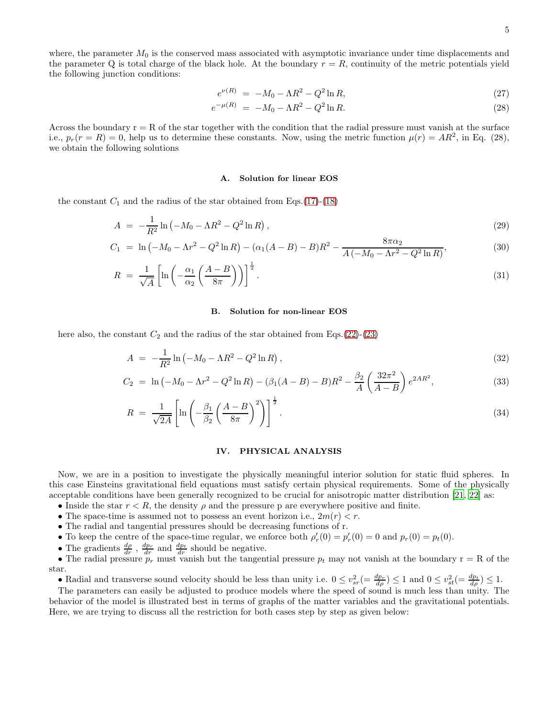$$
e^{\nu(R)} = -M_0 - \Lambda R^2 - Q^2 \ln R,\tag{27}
$$

$$
e^{-\mu(R)} = -M_0 - \Lambda R^2 - Q^2 \ln R. \tag{28}
$$

Across the boundary  $r = R$  of the star together with the condition that the radial pressure must vanish at the surface i.e.,  $p_r(r = R) = 0$ , help us to determine these constants. Now, using the metric function  $\mu(r) = AR^2$ , in Eq. (28), we obtain the following solutions

### A. Solution for linear EOS

the constant  $C_1$  and the radius of the star obtained from Eqs.[\(17\)](#page-3-0)-[\(18\)](#page-3-0)

$$
A = -\frac{1}{R^2} \ln \left( -M_0 - \Lambda R^2 - Q^2 \ln R \right),\tag{29}
$$

$$
C_1 = \ln(-M_0 - \Lambda r^2 - Q^2 \ln R) - (\alpha_1(A - B) - B)R^2 - \frac{8\pi\alpha_2}{A(-M_0 - \Lambda r^2 - Q^2 \ln R)},
$$
\n(30)

$$
R = \frac{1}{\sqrt{A}} \left[ \ln \left( -\frac{\alpha_1}{\alpha_2} \left( \frac{A - B}{8\pi} \right) \right) \right]^{\frac{1}{2}}.
$$
\n(31)

#### B. Solution for non-linear EOS

here also, the constant  $C_2$  and the radius of the star obtained from Eqs.[\(22\)](#page-3-1)-[\(23\)](#page-3-1)

$$
A = -\frac{1}{R^2} \ln \left( -M_0 - \Lambda R^2 - Q^2 \ln R \right),\tag{32}
$$

$$
C_2 = \ln(-M_0 - \Lambda r^2 - Q^2 \ln R) - (\beta_1(A - B) - B)R^2 - \frac{\beta_2}{A} \left(\frac{32\pi^2}{A - B}\right) e^{2AR^2},\tag{33}
$$

$$
R = \frac{1}{\sqrt{2A}} \left[ \ln \left( -\frac{\beta_1}{\beta_2} \left( \frac{A - B}{8\pi} \right)^2 \right) \right]^{\frac{1}{2}}.
$$
\n(34)

### IV. PHYSICAL ANALYSIS

Now, we are in a position to investigate the physically meaningful interior solution for static fluid spheres. In this case Einsteins gravitational field equations must satisfy certain physical requirements. Some of the physically acceptable conditions have been generally recognized to be crucial for anisotropic matter distribution [\[21,](#page-9-17) [22\]](#page-9-18) as:

- Inside the star  $r < R$ , the density  $\rho$  and the pressure p are everywhere positive and finite.
- The space-time is assumed not to possess an event horizon i.e.,  $2m(r) < r$ .
- The radial and tangential pressures should be decreasing functions of r.
- To keep the centre of the space-time regular, we enforce both  $\rho'_r(0) = p'_r(0) = 0$  and  $p_r(0) = p_t(0)$ .
- The gradients  $\frac{d\rho}{dr}$ ,  $\frac{dp_r}{dr}$  and  $\frac{dp_t}{dr}$  should be negative.

• The radial pressure  $p_r$  must vanish but the tangential pressure  $p_t$  may not vanish at the boundary  $r = R$  of the star.

• Radial and transverse sound velocity should be less than unity i.e.  $0 \le v_{sr}^2 \left( = \frac{dp_r}{d\rho} \right) \le 1$  and  $0 \le v_{st}^2 \left( = \frac{dp_t}{d\rho} \right) \le 1$ .

The parameters can easily be adjusted to produce models where the speed of sound is much less than unity. The behavior of the model is illustrated best in terms of graphs of the matter variables and the gravitational potentials. Here, we are trying to discuss all the restriction for both cases step by step as given below: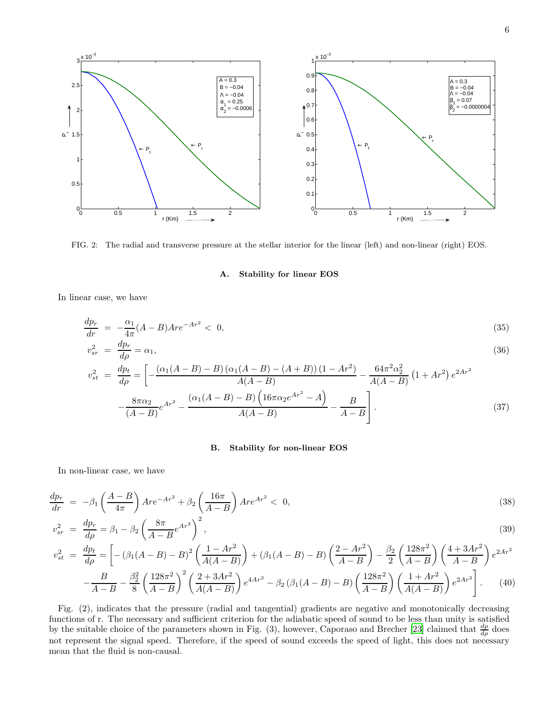

FIG. 2: The radial and transverse pressure at the stellar interior for the linear (left) and non-linear (right) EOS.

# A. Stability for linear EOS

In linear case, we have

$$
\frac{dp_r}{dr} = -\frac{\alpha_1}{4\pi}(A - B)Are^{-Ar^2} < 0,\tag{35}
$$

$$
v_{sr}^2 = \frac{dp_r}{d\rho} = \alpha_1,\tag{36}
$$

$$
v_{st}^{2} = \frac{dp_{t}}{d\rho} = \left[ -\frac{(\alpha_{1}(A-B)-B)(\alpha_{1}(A-B)-(A+B))(1-Ar^{2})}{A(A-B)} - \frac{64\pi^{2}\alpha_{2}^{2}}{A(A-B)}(1+Ar^{2})e^{2Ar^{2}} - \frac{8\pi\alpha_{2}}{(A-B)}e^{Ar^{2}} - \frac{(\alpha_{1}(A-B)-B)(16\pi\alpha_{2}e^{Ar^{2}}-A)}{A(A-B)} - \frac{B}{A-B} \right].
$$
\n(37)

# B. Stability for non-linear EOS

In non-linear case, we have

$$
\frac{dp_r}{dr} = -\beta_1 \left(\frac{A-B}{4\pi}\right) Are^{-Ar^2} + \beta_2 \left(\frac{16\pi}{A-B}\right) Are^{Ar^2} < 0,
$$
\n(38)

$$
v_{sr}^2 = \frac{dp_r}{d\rho} = \beta_1 - \beta_2 \left(\frac{8\pi}{A - B} e^{Ar^2}\right)^2,
$$
\n(39)

$$
v_{st}^2 = \frac{dp_t}{d\rho} = \left[ -(\beta_1(A-B) - B)^2 \left( \frac{1 - Ar^2}{A(A-B)} \right) + (\beta_1(A-B) - B) \left( \frac{2 - Ar^2}{A-B} \right) - \frac{\beta_2}{2} \left( \frac{128\pi^2}{A-B} \right) \left( \frac{4 + 3Ar^2}{A-B} \right) e^{2Ar^2} \right]
$$
  

$$
B = \beta_2^2 \left( \frac{128\pi^2}{A^2} \right)^2 \left( \frac{2 + 3Ar^2}{A^2} \right)^{-1} \left( \frac{4Ar^2}{A-B} \right)^{-1} \left( \frac{128\pi^2}{A-B} \right) \left( \frac{1 + Ar^2}{A^2} \right)^{-2} \left( \frac{2Ar^2}{A^2} \right)
$$

$$
-\frac{B}{A-B} - \frac{\beta_2^2}{8} \left(\frac{128\pi^2}{A-B}\right) \left(\frac{2+3Ar^2}{A(A-B)}\right) e^{4Ar^2} - \beta_2 \left(\beta_1(A-B) - B\right) \left(\frac{128\pi^2}{A-B}\right) \left(\frac{1+Ar^2}{A(A-B)}\right) e^{2Ar^2} \Bigg].
$$
 (40)

Fig. (2), indicates that the pressure (radial and tangential) gradients are negative and monotonically decreasing functions of r. The necessary and sufficient criterion for the adiabatic speed of sound to be less than unity is satisfied by the suitable choice of the parameters shown in Fig. (3), however, Caporaso and Brecher [\[23\]](#page-9-19) claimed that  $\frac{dp}{d\rho}$  does not represent the signal speed. Therefore, if the speed of sound exceeds the speed of light, this does not necessary mean that the fluid is non-causal.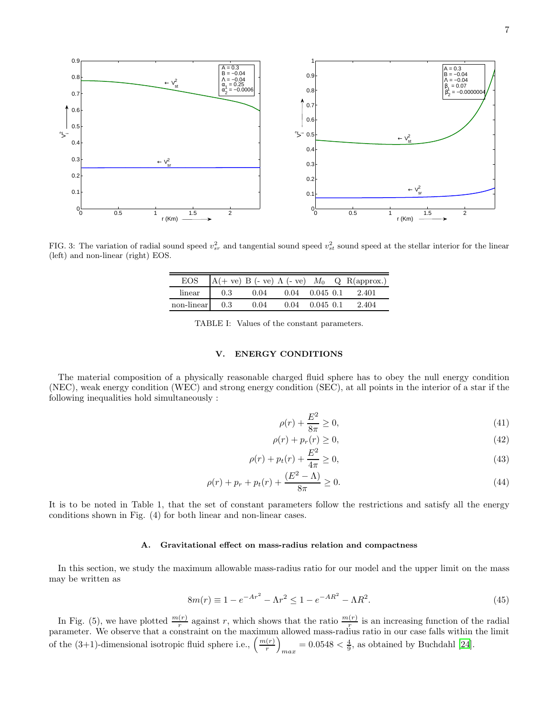

FIG. 3: The variation of radial sound speed  $v_{sr}^2$  and tangential sound speed  $v_{st}^2$  sound speed at the stellar interior for the linear (left) and non-linear (right) EOS.

| EOS              |                                                                                                |      |                      |  | $A(+ve)$ B (- ve) $\Lambda$ (- ve) $M_0$ Q R(approx.) |
|------------------|------------------------------------------------------------------------------------------------|------|----------------------|--|-------------------------------------------------------|
|                  | linear $\begin{array}{ l} 0.3 \\ 0.04 \\ 0.04 \\ 0.04 \\ 0.045 \\ 0.1 \\ 2.401 \\ \end{array}$ |      |                      |  |                                                       |
| $non-linear$ 0.3 |                                                                                                | 0.04 | $0.04$ $0.045$ $0.1$ |  | 2.404                                                 |

TABLE I: Values of the constant parameters.

# V. ENERGY CONDITIONS

The material composition of a physically reasonable charged fluid sphere has to obey the null energy condition (NEC), weak energy condition (WEC) and strong energy condition (SEC), at all points in the interior of a star if the following inequalities hold simultaneously :

$$
\rho(r) + \frac{E^2}{8\pi} \ge 0,\tag{41}
$$

$$
\rho(r) + p_r(r) \ge 0,\tag{42}
$$

$$
\rho(r) + p_t(r) + \frac{E^2}{4\pi} \ge 0,
$$
\n(43)

$$
\rho(r) + p_r + p_t(r) + \frac{(E^2 - \Lambda)}{8\pi} \ge 0.
$$
\n(44)

It is to be noted in Table 1, that the set of constant parameters follow the restrictions and satisfy all the energy conditions shown in Fig. (4) for both linear and non-linear cases.

### A. Gravitational effect on mass-radius relation and compactness

In this section, we study the maximum allowable mass-radius ratio for our model and the upper limit on the mass may be written as

$$
8m(r) \equiv 1 - e^{-Ar^2} - \Lambda r^2 \le 1 - e^{-AR^2} - \Lambda R^2. \tag{45}
$$

In Fig. (5), we have plotted  $\frac{m(r)}{r}$  against r, which shows that the ratio  $\frac{m(r)}{r}$  is an increasing function of the radial parameter. We observe that a constraint on the maximum allowed mass-radius ratio in our case falls within the limit of the  $(3+1)$ -dimensional isotropic fluid sphere i.e.,  $\left(\frac{m(r)}{r}\right)$ r  $\setminus$  $\frac{1}{max}$  = 0.0548 <  $\frac{4}{9}$ , as obtained by Buchdahl [\[24\]](#page-9-20).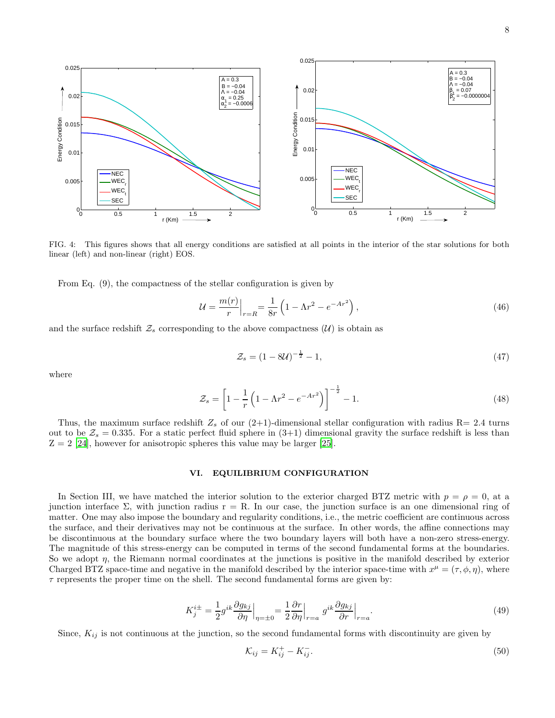

FIG. 4: This figures shows that all energy conditions are satisfied at all points in the interior of the star solutions for both linear (left) and non-linear (right) EOS.

From Eq. (9), the compactness of the stellar configuration is given by

$$
\mathcal{U} = \frac{m(r)}{r} \Big|_{r=R} = \frac{1}{8r} \left( 1 - \Lambda r^2 - e^{-Ar^2} \right),\tag{46}
$$

and the surface redshift  $\mathcal{Z}_s$  corresponding to the above compactness  $(\mathcal{U})$  is obtain as

$$
\mathcal{Z}_s = (1 - 8\mathcal{U})^{-\frac{1}{2}} - 1,\tag{47}
$$

where

$$
\mathcal{Z}_s = \left[1 - \frac{1}{r}\left(1 - \Lambda r^2 - e^{-Ar^2}\right)\right]^{-\frac{1}{2}} - 1.\tag{48}
$$

Thus, the maximum surface redshift  $Z_s$  of our (2+1)-dimensional stellar configuration with radius R= 2.4 turns out to be  $\mathcal{Z}_s = 0.335$ . For a static perfect fluid sphere in  $(3+1)$  dimensional gravity the surface redshift is less than  $Z = 2$  [\[24\]](#page-9-20), however for anisotropic spheres this value may be larger [\[25](#page-9-21)].

## VI. EQUILIBRIUM CONFIGURATION

In Section III, we have matched the interior solution to the exterior charged BTZ metric with  $p = \rho = 0$ , at a junction interface  $\Sigma$ , with junction radius  $r = R$ . In our case, the junction surface is an one dimensional ring of matter. One may also impose the boundary and regularity conditions, i.e., the metric coefficient are continuous across the surface, and their derivatives may not be continuous at the surface. In other words, the affine connections may be discontinuous at the boundary surface where the two boundary layers will both have a non-zero stress-energy. The magnitude of this stress-energy can be computed in terms of the second fundamental forms at the boundaries. So we adopt  $\eta$ , the Riemann normal coordinates at the junctions is positive in the manifold described by exterior Charged BTZ space-time and negative in the manifold described by the interior space-time with  $x^{\mu} = (\tau, \phi, \eta)$ , where  $\tau$  represents the proper time on the shell. The second fundamental forms are given by:

$$
K_j^{i\pm} = \frac{1}{2} g^{ik} \frac{\partial g_{kj}}{\partial \eta} \Big|_{\eta = \pm 0} = \frac{1}{2} \frac{\partial r}{\partial \eta} \Big|_{r=a} g^{ik} \frac{\partial g_{kj}}{\partial r} \Big|_{r=a}.
$$
 (49)

Since,  $K_{ij}$  is not continuous at the junction, so the second fundamental forms with discontinuity are given by

$$
\mathcal{K}_{ij} = K_{ij}^+ - K_{ij}^-.
$$
\n
$$
(50)
$$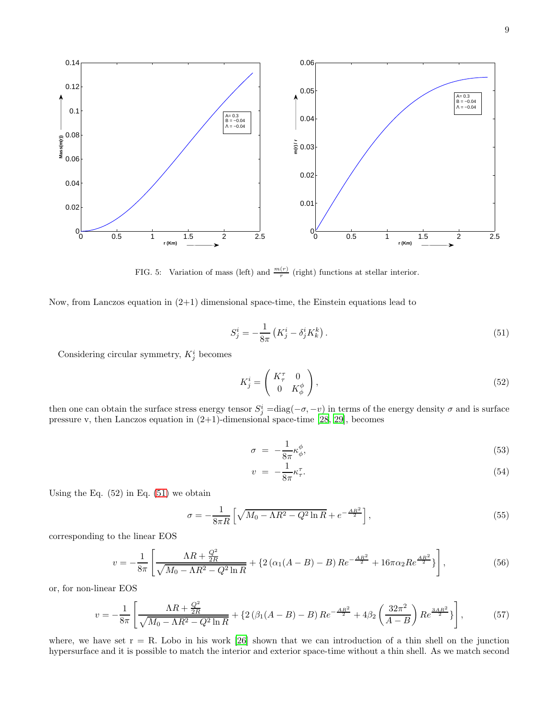

FIG. 5: Variation of mass (left) and  $\frac{m(r)}{r}$  (right) functions at stellar interior.

Now, from Lanczos equation in  $(2+1)$  dimensional space-time, the Einstein equations lead to

<span id="page-8-0"></span>
$$
S_j^i = -\frac{1}{8\pi} \left( K_j^i - \delta_j^i K_k^k \right). \tag{51}
$$

Considering circular symmetry,  $K_j^i$  becomes

$$
K_j^i = \begin{pmatrix} K_\tau^\tau & 0\\ 0 & K_\phi^\phi \end{pmatrix},\tag{52}
$$

then one can obtain the surface stress energy tensor  $S_j^i = diag(-\sigma, -v)$  in terms of the energy density  $\sigma$  and is surface pressure v, then Lanczos equation in (2+1)-dimensional space-time [\[28,](#page-9-22) 29], becomes

$$
\sigma = -\frac{1}{8\pi} \kappa_{\phi}^{\phi},\tag{53}
$$

$$
v = -\frac{1}{8\pi} \kappa_{\tau}^{\tau}.
$$
\n<sup>(54)</sup>

Using the Eq.  $(52)$  in Eq.  $(51)$  we obtain

$$
\sigma = -\frac{1}{8\pi R} \left[ \sqrt{M_0 - \Lambda R^2 - Q^2 \ln R} + e^{-\frac{AR^2}{2}} \right],\tag{55}
$$

corresponding to the linear EOS

$$
v = -\frac{1}{8\pi} \left[ \frac{\Lambda R + \frac{Q^2}{2R}}{\sqrt{M_0 - \Lambda R^2 - Q^2 \ln R}} + \left\{ 2 \left( \alpha_1 (A - B) - B \right) Re^{-\frac{AR^2}{2}} + 16\pi \alpha_2 Re^{\frac{AR^2}{2}} \right\} \right],\tag{56}
$$

or, for non-linear EOS

$$
v = -\frac{1}{8\pi} \left[ \frac{\Lambda R + \frac{Q^2}{2R}}{\sqrt{M_0 - \Lambda R^2 - Q^2 \ln R}} + \left\{ 2\left(\beta_1 (A - B) - B\right) Re^{-\frac{AR^2}{2}} + 4\beta_2 \left(\frac{32\pi^2}{A - B}\right) Re^{\frac{3AR^2}{2}} \right\} \right],\tag{57}
$$

where, we have set  $r = R$ . Lobo in his work [\[26\]](#page-9-23) shown that we can introduction of a thin shell on the junction hypersurface and it is possible to match the interior and exterior space-time without a thin shell. As we match second